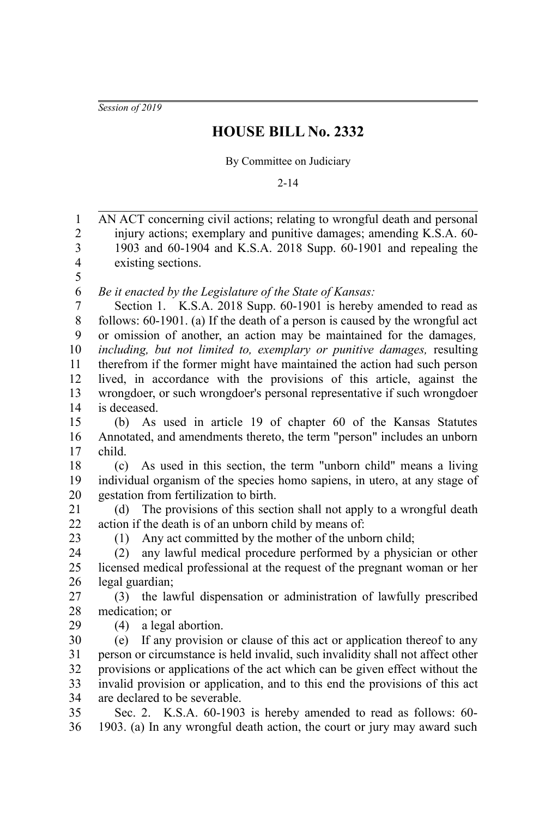*Session of 2019*

## **HOUSE BILL No. 2332**

By Committee on Judiciary

2-14

AN ACT concerning civil actions; relating to wrongful death and personal injury actions; exemplary and punitive damages; amending K.S.A. 60- 1903 and 60-1904 and K.S.A. 2018 Supp. 60-1901 and repealing the existing sections. *Be it enacted by the Legislature of the State of Kansas:* Section 1. K.S.A. 2018 Supp. 60-1901 is hereby amended to read as follows: 60-1901. (a) If the death of a person is caused by the wrongful act or omission of another, an action may be maintained for the damages*, including, but not limited to, exemplary or punitive damages,* resulting therefrom if the former might have maintained the action had such person lived, in accordance with the provisions of this article, against the wrongdoer, or such wrongdoer's personal representative if such wrongdoer is deceased. (b) As used in article 19 of chapter 60 of the Kansas Statutes Annotated, and amendments thereto, the term "person" includes an unborn child. (c) As used in this section, the term "unborn child" means a living individual organism of the species homo sapiens, in utero, at any stage of gestation from fertilization to birth. (d) The provisions of this section shall not apply to a wrongful death action if the death is of an unborn child by means of: (1) Any act committed by the mother of the unborn child; (2) any lawful medical procedure performed by a physician or other licensed medical professional at the request of the pregnant woman or her legal guardian; (3) the lawful dispensation or administration of lawfully prescribed medication; or (4) a legal abortion. (e) If any provision or clause of this act or application thereof to any person or circumstance is held invalid, such invalidity shall not affect other provisions or applications of the act which can be given effect without the invalid provision or application, and to this end the provisions of this act are declared to be severable. Sec. 2. K.S.A. 60-1903 is hereby amended to read as follows: 60- 1903. (a) In any wrongful death action, the court or jury may award such 1 2 3 4 5 6 7 8 9 10 11 12 13 14 15 16 17 18 19 20 21 22 23 24 25 26 27 28 29 30 31 32 33 34 35 36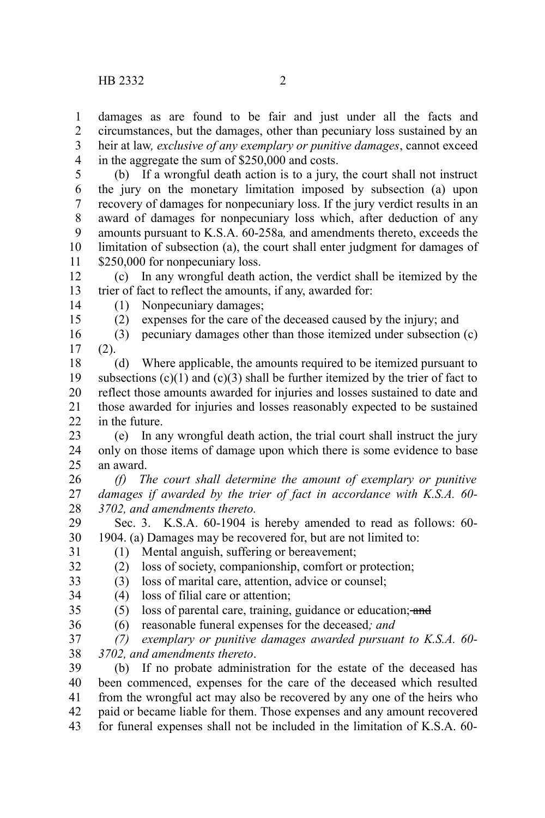damages as are found to be fair and just under all the facts and circumstances, but the damages, other than pecuniary loss sustained by an heir at law*, exclusive of any exemplary or punitive damages*, cannot exceed in the aggregate the sum of \$250,000 and costs. 1 2 3 4

(b) If a wrongful death action is to a jury, the court shall not instruct the jury on the monetary limitation imposed by subsection (a) upon recovery of damages for nonpecuniary loss. If the jury verdict results in an award of damages for nonpecuniary loss which, after deduction of any amounts pursuant to K.S.A. 60-258a*,* and amendments thereto, exceeds the limitation of subsection (a), the court shall enter judgment for damages of \$250,000 for nonpecuniary loss. 5 6 7 8 9 10 11

(c) In any wrongful death action, the verdict shall be itemized by the trier of fact to reflect the amounts, if any, awarded for: 12 13

14 15 (1) Nonpecuniary damages;

(2) expenses for the care of the deceased caused by the injury; and

(3) pecuniary damages other than those itemized under subsection (c) (2). 16 17

(d) Where applicable, the amounts required to be itemized pursuant to subsections  $(c)(1)$  and  $(c)(3)$  shall be further itemized by the trier of fact to reflect those amounts awarded for injuries and losses sustained to date and those awarded for injuries and losses reasonably expected to be sustained in the future. 18 19 20 21  $22$ 

(e) In any wrongful death action, the trial court shall instruct the jury only on those items of damage upon which there is some evidence to base an award. 23 24 25

*(f) The court shall determine the amount of exemplary or punitive damages if awarded by the trier of fact in accordance with K.S.A. 60- 3702, and amendments thereto.* 26 27 28

Sec. 3. K.S.A. 60-1904 is hereby amended to read as follows: 60- 1904. (a) Damages may be recovered for, but are not limited to: 29 30 31

(1) Mental anguish, suffering or bereavement;

32

(2) loss of society, companionship, comfort or protection; (3) loss of marital care, attention, advice or counsel; 33

(4) loss of filial care or attention; 34

35

 $(5)$  loss of parental care, training, guidance or education; and

(6) reasonable funeral expenses for the deceased*; and* 36

*(7) exemplary or punitive damages awarded pursuant to K.S.A. 60- 3702, and amendments thereto*. 37 38

(b) If no probate administration for the estate of the deceased has been commenced, expenses for the care of the deceased which resulted from the wrongful act may also be recovered by any one of the heirs who paid or became liable for them. Those expenses and any amount recovered for funeral expenses shall not be included in the limitation of K.S.A. 60- 39 40 41 42 43